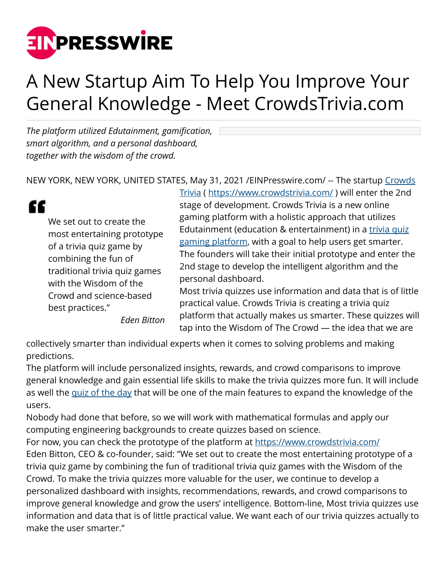

## A New Startup Aim To Help You Improve Your General Knowledge - Meet CrowdsTrivia.com

*The platform utilized Edutainment, gamification, smart algorithm, and a personal dashboard, together with the wisdom of the crowd.*

NEW YORK, NEW YORK, UNITED STATES, May 31, 2021 / [EINPresswire.com/](http://www.einpresswire.com) -- The startup [Crowds](https://www.crowdstrivia.com/)

## "

We set out to create the most entertaining prototype of a trivia quiz game by combining the fun of traditional trivia quiz games with the Wisdom of the Crowd and science-based best practices."

*Eden Bitton*

[Trivia](https://www.crowdstrivia.com/) (<https://www.crowdstrivia.com/> ) will enter the 2nd stage of development. Crowds Trivia is a new online gaming platform with a holistic approach that utilizes Edutainment (education & entertainment) in a [trivia quiz](https://www.crowdstrivia.com/games) [gaming platform](https://www.crowdstrivia.com/games), with a goal to help users get smarter. The founders will take their initial prototype and enter the 2nd stage to develop the intelligent algorithm and the personal dashboard.

Most trivia quizzes use information and data that is of little practical value. Crowds Trivia is creating a trivia quiz platform that actually makes us smarter. These quizzes will tap into the Wisdom of The Crowd — the idea that we are

collectively smarter than individual experts when it comes to solving problems and making predictions.

The platform will include personalized insights, rewards, and crowd comparisons to improve general knowledge and gain essential life skills to make the trivia quizzes more fun. It will include as well the [quiz of the day](https://www.crowdstrivia.com/games/quiz-of-the-day) that will be one of the main features to expand the knowledge of the users.

Nobody had done that before, so we will work with mathematical formulas and apply our computing engineering backgrounds to create quizzes based on science.

For now, you can check the prototype of the platform at<https://www.crowdstrivia.com/> Eden Bitton, CEO & co-founder, said: "We set out to create the most entertaining prototype of a trivia quiz game by combining the fun of traditional trivia quiz games with the Wisdom of the Crowd. To make the trivia quizzes more valuable for the user, we continue to develop a personalized dashboard with insights, recommendations, rewards, and crowd comparisons to improve general knowledge and grow the users' intelligence. Bottom-line, Most trivia quizzes use information and data that is of little practical value. We want each of our trivia quizzes actually to make the user smarter."